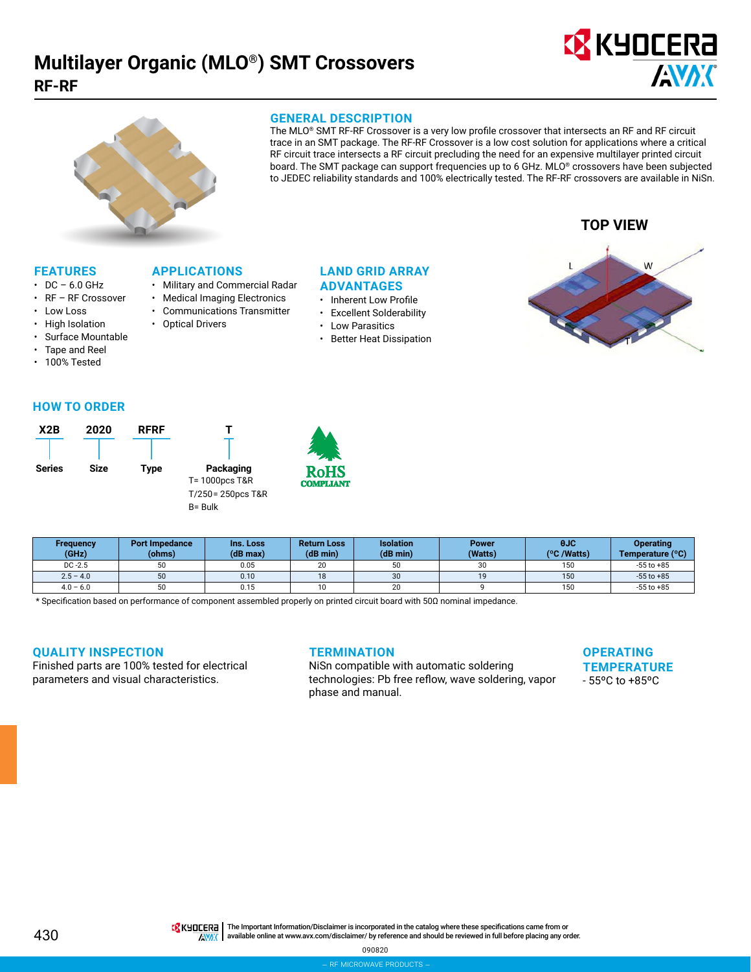# **Multilayer Organic (MLO®) SMT Crossovers RF-RF**





#### **GENERAL DESCRIPTION**

The MLO® SMT RF-RF Crossover is a very low profile crossover that intersects an RF and RF circuit trace in an SMT package. The RF-RF Crossover is a low cost solution for applications where a critical RF circuit trace intersects a RF circuit precluding the need for an expensive multilayer printed circuit board. The SMT package can support frequencies up to 6 GHz. MLO® crossovers have been subjected to JEDEC reliability standards and 100% electrically tested. The RF-RF crossovers are available in NiSn.



## **FEATURES**

- $\cdot$  DC 6.0 GHz
- RF RF Crossover
- Low Loss
- High Isolation
- Surface Mountable
- Tape and Reel
- 100% Tested

## **LAND GRID ARRAY**

- **ADVANTAGES**
- Inherent Low Profile
- Excellent Solderability
- Low Parasitics
- Better Heat Dissipation



## **HOW TO ORDER**



**APPLICATIONS**

• Optical Drivers

• Military and Commercial Radar • Medical Imaging Electronics • Communications Transmitter

| <b>Frequency</b><br>(GHz) | <b>Port Impedance</b><br>(ohms) | Ins. Loss<br>(dB max) | <b>Return Loss</b><br>(dB min) | <b>Isolation</b><br>(dB min) | <b>Power</b><br>(Watts) | 0JC<br>(°C /Watts) | <b>Operating</b><br>Temperature (°C) |
|---------------------------|---------------------------------|-----------------------|--------------------------------|------------------------------|-------------------------|--------------------|--------------------------------------|
| $DC -2.5$                 | 50                              | 0.05                  | 20                             | 50                           | 30                      | 150                | $-55$ to $+85$                       |
| $2.5 - 4.0$               | 50                              | 0.10                  | 18                             | 30                           | 19                      | 150                | $-55$ to $+85$                       |
| $4.0 - 6.0$               | 50                              | 0.15                  | 10                             | 20                           |                         | 150                | $-55$ to $+85$                       |

\* Specification based on performance of component assembled properly on printed circuit board with 50Ω nominal impedance.

## **QUALITY INSPECTION**

Finished parts are 100% tested for electrical parameters and visual characteristics.

## **TERMINATION**

NiSn compatible with automatic soldering technologies: Pb free reflow, wave soldering, vapor phase and manual.

**OPERATING TEMPERATURE** - 55ºC to +85ºC

430

THE IMPORTANT IN The Important Information/Disclaimer is incorporated in the catalog where these specifications came from or available online at [www.avx.com/disclaimer/](http://www.avx.com/disclaimer/) by reference and should be reviewed in full before placing any order. **ANAK** 

090820

– rf microwave products –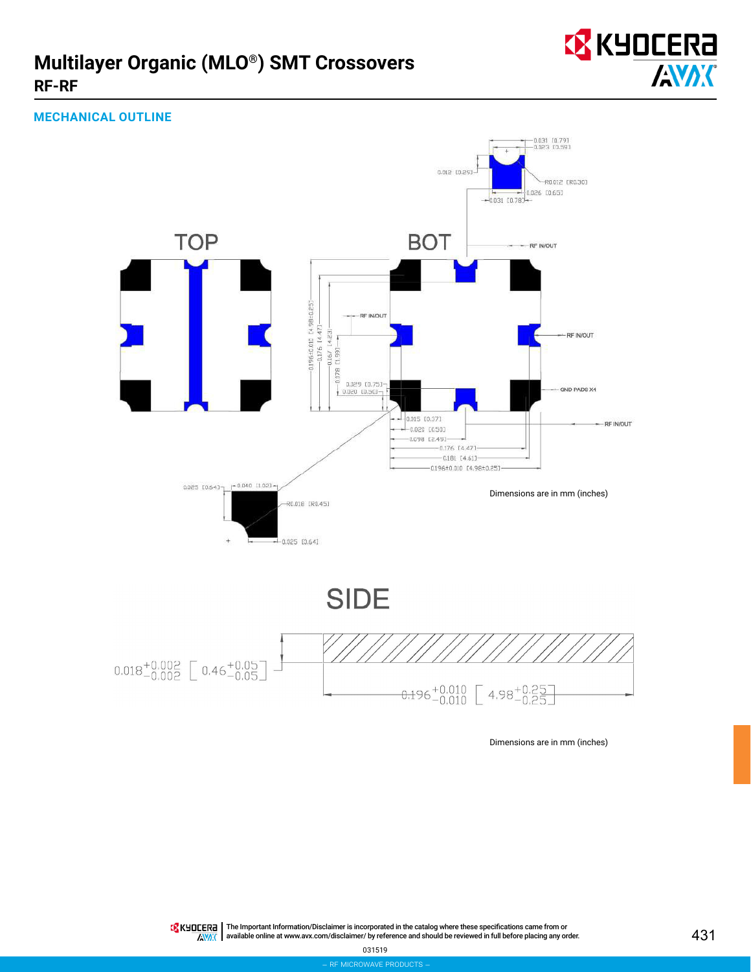## **Multilayer Organic (MLO®) SMT Crossovers RF-RF**



## **MECHANICAL OUTLINE**



Dimensions are in mm (inches)

The Important Information/Disclaimer is incorporated in the catalog where these specifications came from or available online at [www.avx.com/disclaimer/](http://www.avx.com/disclaimer/) by reference and should be reviewed in full before placing any order.  $\overline{N}$